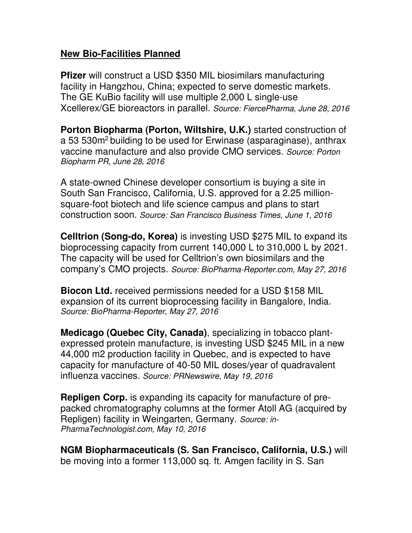## **New Bio-Facilities Planned**

**Pfizer** will construct a USD \$350 MIL biosimilars manufacturing facility in Hangzhou, China; expected to serve domestic markets. The GE KuBio facility will use multiple 2,000 L single-use Xcellerex/GE bioreactors in parallel. *Source: FiercePharma, June 28, 2016*

**Porton Biopharma (Porton, Wiltshire, U.K.)** started construction of a 53 530m<sup>2</sup> building to be used for Erwinase (asparaginase), anthrax vaccine manufacture and also provide CMO services. *Source: Porton Biopharm PR, June 28, 2016* 

A state-owned Chinese developer consortium is buying a site in South San Francisco, California, U.S. approved for a 2.25 millionsquare-foot biotech and life science campus and plans to start construction soon. *Source: San Francisco Business Times, June 1, 2016*

**Celltrion (Song-do, Korea)** is investing USD \$275 MIL to expand its bioprocessing capacity from current 140,000 L to 310,000 L by 2021. The capacity will be used for Celltrion's own biosimilars and the company's CMO projects. *Source: BioPharma-Reporter.com, May 27, 2016* 

**Biocon Ltd.** received permissions needed for a USD \$158 MIL expansion of its current bioprocessing facility in Bangalore, India. *Source: BioPharma-Reporter, May 27, 2016* 

**Medicago (Quebec City, Canada)**, specializing in tobacco plantexpressed protein manufacture, is investing USD \$245 MIL in a new 44,000 m2 production facility in Quebec, and is expected to have capacity for manufacture of 40-50 MIL doses/year of quadravalent influenza vaccines. *Source: PRNewswire, May 19, 2016*

**Repligen Corp.** is expanding its capacity for manufacture of prepacked chromatography columns at the former Atoll AG (acquired by Repligen) facility in Weingarten, Germany. *Source: in-PharmaTechnologist.com, May 10, 2016*

**NGM Biopharmaceuticals (S. San Francisco, California, U.S.)** will be moving into a former 113,000 sq. ft. Amgen facility in S. San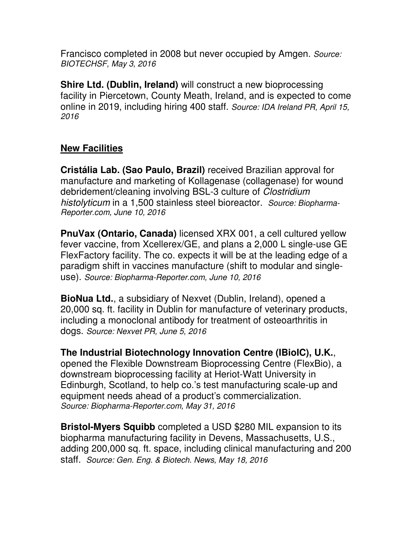Francisco completed in 2008 but never occupied by Amgen. *Source: BIOTECHSF, May 3, 2016*

**Shire Ltd. (Dublin, Ireland)** will construct a new bioprocessing facility in Piercetown, County Meath, Ireland, and is expected to come online in 2019, including hiring 400 staff. *Source: IDA Ireland PR, April 15, 2016*

## **New Facilities**

**Cristália Lab. (Sao Paulo, Brazil)** received Brazilian approval for manufacture and marketing of Kollagenase (collagenase) for wound debridement/cleaning involving BSL-3 culture of *Clostridium histolyticum* in a 1,500 stainless steel bioreactor. *Source: Biopharma-Reporter.com, June 10, 2016*

**PnuVax (Ontario, Canada)** licensed XRX 001, a cell cultured yellow fever vaccine, from Xcellerex/GE, and plans a 2,000 L single-use GE FlexFactory facility. The co. expects it will be at the leading edge of a paradigm shift in vaccines manufacture (shift to modular and singleuse). *Source: Biopharma-Reporter.com, June 10, 2016*

**BioNua Ltd.**, a subsidiary of Nexvet (Dublin, Ireland), opened a 20,000 sq. ft. facility in Dublin for manufacture of veterinary products, including a monoclonal antibody for treatment of osteoarthritis in dogs. *Source: Nexvet PR, June 5, 2016*

**The Industrial Biotechnology Innovation Centre (IBioIC), U.K.**, opened the Flexible Downstream Bioprocessing Centre (FlexBio), a downstream bioprocessing facility at Heriot-Watt University in Edinburgh, Scotland, to help co.'s test manufacturing scale-up and equipment needs ahead of a product's commercialization.

*Source: Biopharma-Reporter.com, May 31, 2016* 

**Bristol-Myers Squibb** completed a USD \$280 MIL expansion to its biopharma manufacturing facility in Devens, Massachusetts, U.S., adding 200,000 sq. ft. space, including clinical manufacturing and 200 staff. *Source: Gen. Eng. & Biotech. News, May 18, 2016*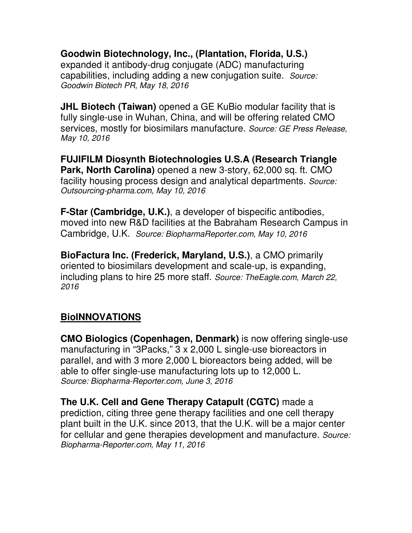**Goodwin Biotechnology, Inc., (Plantation, Florida, U.S.)** expanded it antibody-drug conjugate (ADC) manufacturing capabilities, including adding a new conjugation suite. *Source: Goodwin Biotech PR, May 18, 2016* 

**JHL Biotech (Taiwan)** opened a GE KuBio modular facility that is fully single-use in Wuhan, China, and will be offering related CMO services, mostly for biosimilars manufacture. *Source: GE Press Release, May 10, 2016*

**FUJIFILM Diosynth Biotechnologies U.S.A (Research Triangle Park, North Carolina)** opened a new 3-story, 62,000 sq. ft. CMO facility housing process design and analytical departments. *Source: Outsourcing-pharma.com, May 10, 2016* 

**F-Star (Cambridge, U.K.)**, a developer of bispecific antibodies, moved into new R&D facilities at the Babraham Research Campus in Cambridge, U.K. *Source: BiopharmaReporter.com, May 10, 2016*

**BioFactura Inc. (Frederick, Maryland, U.S.)**, a CMO primarily oriented to biosimilars development and scale-up, is expanding, including plans to hire 25 more staff. *Source: TheEagle.com, March 22, 2016* 

## **BioINNOVATIONS**

**CMO Biologics (Copenhagen, Denmark)** is now offering single-use manufacturing in "3Packs," 3 x 2,000 L single-use bioreactors in parallel, and with 3 more 2,000 L bioreactors being added, will be able to offer single-use manufacturing lots up to 12,000 L. *Source: Biopharma-Reporter.com, June 3, 2016* 

**The U.K. Cell and Gene Therapy Catapult (CGTC)** made a prediction, citing three gene therapy facilities and one cell therapy plant built in the U.K. since 2013, that the U.K. will be a major center for cellular and gene therapies development and manufacture. *Source: Biopharma-Reporter.com, May 11, 2016*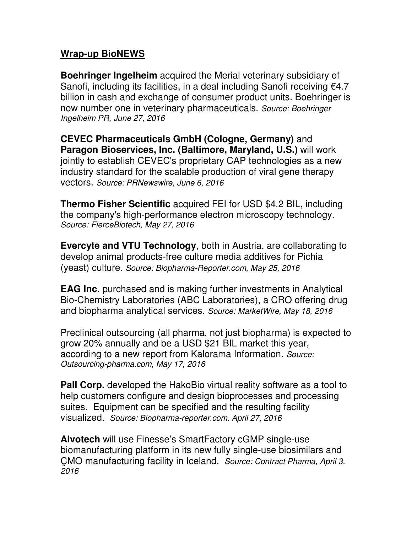## **Wrap-up BioNEWS**

**Boehringer Ingelheim** acquired the Merial veterinary subsidiary of Sanofi, including its facilities, in a deal including Sanofi receiving €4.7 billion in cash and exchange of consumer product units. Boehringer is now number one in veterinary pharmaceuticals. *Source: Boehringer Ingelheim PR, June 27, 2016*

**CEVEC Pharmaceuticals GmbH (Cologne, Germany)** and **Paragon Bioservices, Inc. (Baltimore, Maryland, U.S.)** will work jointly to establish CEVEC's proprietary CAP technologies as a new industry standard for the scalable production of viral gene therapy vectors. *Source: PRNewswire, June 6, 2016*

**Thermo Fisher Scientific** acquired FEI for USD \$4.2 BIL, including the company's high-performance electron microscopy technology. *Source: FierceBiotech, May 27, 2016*

**Evercyte and VTU Technology**, both in Austria, are collaborating to develop animal products-free culture media additives for Pichia (yeast) culture. *Source: Biopharma-Reporter.com, May 25, 2016*

**EAG Inc.** purchased and is making further investments in Analytical Bio-Chemistry Laboratories (ABC Laboratories), a CRO offering drug and biopharma analytical services. *Source: MarketWire, May 18, 2016*

Preclinical outsourcing (all pharma, not just biopharma) is expected to grow 20% annually and be a USD \$21 BIL market this year, according to a new report from Kalorama Information. *Source: Outsourcing-pharma.com, May 17, 2016* 

**Pall Corp.** developed the HakoBio virtual reality software as a tool to help customers configure and design bioprocesses and processing suites. Equipment can be specified and the resulting facility visualized. *Source: Biopharma-reporter.com. April 27, 2016*

**Alvotech** will use Finesse's SmartFactory cGMP single-use biomanufacturing platform in its new fully single-use biosimilars and ÇMO manufacturing facility in Iceland. *Source: Contract Pharma, April 3, 2016*